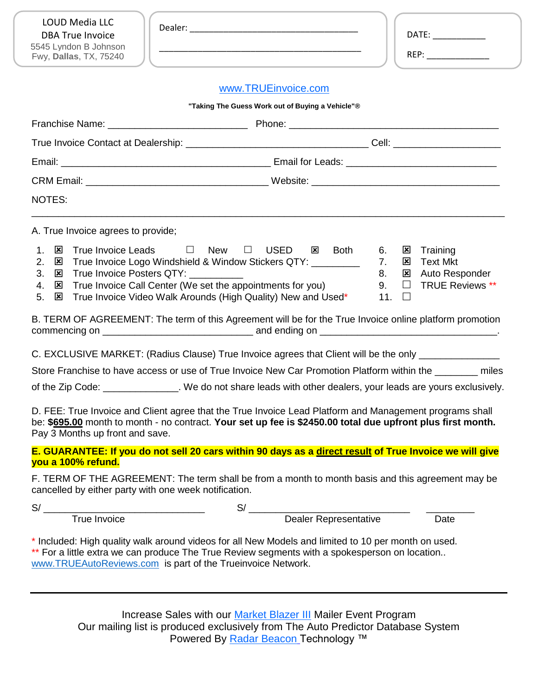| <b>LOUD Media LLC</b><br><b>DBA True Invoice</b><br>5545 Lyndon B Johnson<br>Fwy, Dallas, TX, 75240 |                                                                                                                                                                                                                                                                                |                      | DATE:<br>REP: _______________                                                                                                            |
|-----------------------------------------------------------------------------------------------------|--------------------------------------------------------------------------------------------------------------------------------------------------------------------------------------------------------------------------------------------------------------------------------|----------------------|------------------------------------------------------------------------------------------------------------------------------------------|
|                                                                                                     | www.TRUEinvoice.com                                                                                                                                                                                                                                                            |                      |                                                                                                                                          |
|                                                                                                     | "Taking The Guess Work out of Buying a Vehicle"®                                                                                                                                                                                                                               |                      |                                                                                                                                          |
|                                                                                                     |                                                                                                                                                                                                                                                                                |                      |                                                                                                                                          |
|                                                                                                     |                                                                                                                                                                                                                                                                                |                      |                                                                                                                                          |
|                                                                                                     |                                                                                                                                                                                                                                                                                |                      |                                                                                                                                          |
|                                                                                                     |                                                                                                                                                                                                                                                                                |                      |                                                                                                                                          |
| NOTES:                                                                                              |                                                                                                                                                                                                                                                                                |                      |                                                                                                                                          |
| A. True Invoice agrees to provide;                                                                  |                                                                                                                                                                                                                                                                                |                      |                                                                                                                                          |
| 1.<br>⊠<br>2.<br>⊠<br>3.<br>⊠<br>4.<br>⊠<br>5.<br>⊠                                                 | True Invoice Leads □ New □ USED ⊠ Both<br>True Invoice Logo Windshield & Window Stickers QTY: _________<br>True Invoice Posters QTY: ___________<br>True Invoice Call Center (We set the appointments for you)<br>True Invoice Video Walk Arounds (High Quality) New and Used* | 6.<br>7.<br>8.<br>9. | $\mathbf{x}$<br>Training<br><b>Text Mkt</b><br>$\mathbf{x}$<br><b>図</b> Auto Responder<br><b>TRUE Reviews **</b><br>$\Box$<br>11. $\Box$ |
|                                                                                                     | B. TERM OF AGREEMENT: The term of this Agreement will be for the True Invoice online platform promotion                                                                                                                                                                        |                      |                                                                                                                                          |
|                                                                                                     | C. EXCLUSIVE MARKET: (Radius Clause) True Invoice agrees that Client will be the only _____________                                                                                                                                                                            |                      |                                                                                                                                          |
|                                                                                                     | Store Franchise to have access or use of True Invoice New Car Promotion Platform within the _______ miles                                                                                                                                                                      |                      |                                                                                                                                          |
|                                                                                                     | of the Zip Code: ______________. We do not share leads with other dealers, your leads are yours exclusively.                                                                                                                                                                   |                      |                                                                                                                                          |
| Pay 3 Months up front and save.                                                                     | D. FEE: True Invoice and Client agree that the True Invoice Lead Platform and Management programs shall<br>be: \$695.00 month to month - no contract. Your set up fee is \$2450.00 total due upfront plus first month.                                                         |                      |                                                                                                                                          |
| you a 100% refund.                                                                                  | E. GUARANTEE: If you do not sell 20 cars within 90 days as a direct result of True Invoice we will give                                                                                                                                                                        |                      |                                                                                                                                          |
| cancelled by either party with one week notification.                                               | F. TERM OF THE AGREEMENT: The term shall be from a month to month basis and this agreement may be                                                                                                                                                                              |                      |                                                                                                                                          |
|                                                                                                     |                                                                                                                                                                                                                                                                                |                      |                                                                                                                                          |
|                                                                                                     |                                                                                                                                                                                                                                                                                |                      |                                                                                                                                          |
|                                                                                                     | * Included: High quality walk around videos for all New Models and limited to 10 per month on used.<br>** For a little extra we can produce The True Review segments with a spokesperson on location<br>www.TRUEAutoReviews.com is part of the Trueinvoice Network.            |                      |                                                                                                                                          |

Increase Sales with our **Market Blazer III** Mailer Event Program Our mailing list is produced exclusively from The Auto Predictor Database System Powered By [Radar Beacon](http://www.radarbeacon.com/) Technology ™